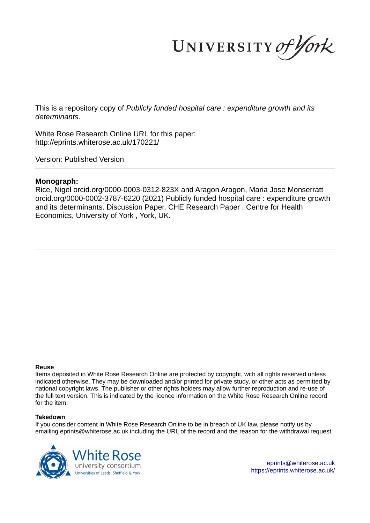UNIVERSITY of York

This is a repository copy of *Publicly funded hospital care : expenditure growth and its determinants*.

White Rose Research Online URL for this paper: http://eprints.whiterose.ac.uk/170221/

Version: Published Version

## **Monograph:**

Rice, Nigel orcid.org/0000-0003-0312-823X and Aragon Aragon, Maria Jose Monserratt orcid.org/0000-0002-3787-6220 (2021) Publicly funded hospital care : expenditure growth and its determinants. Discussion Paper. CHE Research Paper . Centre for Health Economics, University of York , York, UK.

#### **Reuse**

Items deposited in White Rose Research Online are protected by copyright, with all rights reserved unless indicated otherwise. They may be downloaded and/or printed for private study, or other acts as permitted by national copyright laws. The publisher or other rights holders may allow further reproduction and re-use of the full text version. This is indicated by the licence information on the White Rose Research Online record for the item.

#### **Takedown**

If you consider content in White Rose Research Online to be in breach of UK law, please notify us by emailing eprints@whiterose.ac.uk including the URL of the record and the reason for the withdrawal request.



eprints@whiterose.ac.uk https://eprints.whiterose.ac.uk/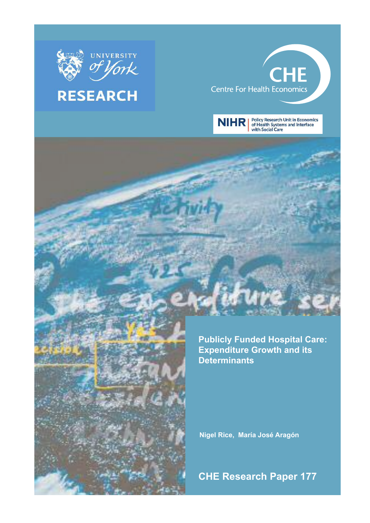

# **RESEARCH**

# **CHE Centre For Health Economics**



Policy Research Unit in Economics<br>of Health Systems and Interface<br>with Social Care



**Nigel Rice, María José Aragón**

**CHE Research Paper 177**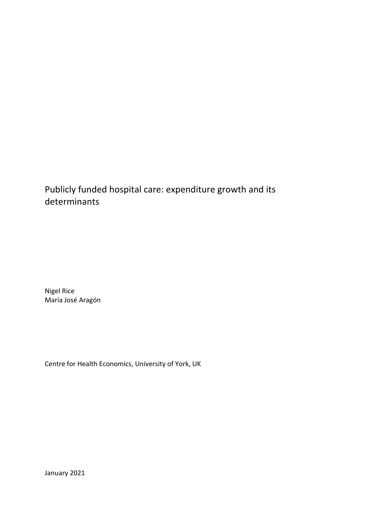# Publicly funded hospital care: expenditure growth and its determinants

Nigel Rice María José Aragón

Centre for Health Economics, University of York, UK

January 2021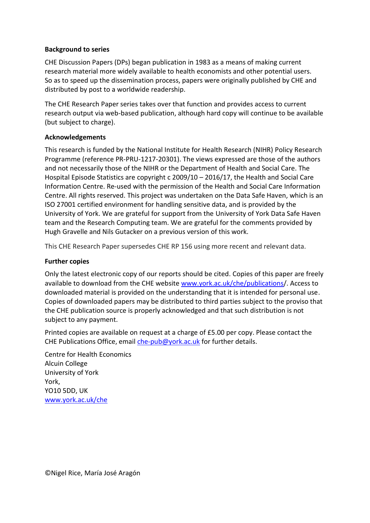# **Background to series**

CHE Discussion Papers (DPs) began publication in 1983 as a means of making current research material more widely available to health economists and other potential users. So as to speed up the dissemination process, papers were originally published by CHE and distributed by post to a worldwide readership.

The CHE Research Paper series takes over that function and provides access to current research output via web-based publication, although hard copy will continue to be available (but subject to charge).

# **Acknowledgements**

This research is funded by the National Institute for Health Research (NIHR) Policy Research Programme (reference PR-PRU-1217-20301). The views expressed are those of the authors and not necessarily those of the NIHR or the Department of Health and Social Care. The Hospital Episode Statistics are copyright c 2009/10 – 2016/17, the Health and Social Care Information Centre. Re-used with the permission of the Health and Social Care Information Centre. All rights reserved. This project was undertaken on the Data Safe Haven, which is an ISO 27001 certified environment for handling sensitive data, and is provided by the University of York. We are grateful for support from the University of York Data Safe Haven team and the Research Computing team. We are grateful for the comments provided by Hugh Gravelle and Nils Gutacker on a previous version of this work.

This CHE Research Paper supersedes CHE RP 156 using more recent and relevant data.

# **Further copies**

Only the latest electronic copy of our reports should be cited. Copies of this paper are freely available to download from the CHE website [www.york.ac.uk/che/publications/](http://www.york.ac.uk/che/publications). Access to downloaded material is provided on the understanding that it is intended for personal use. Copies of downloaded papers may be distributed to third parties subject to the proviso that the CHE publication source is properly acknowledged and that such distribution is not subject to any payment.

Printed copies are available on request at a charge of £5.00 per copy. Please contact the CHE Publications Office, email  $che-pub@york.ac.uk$  for further details.

Centre for Health Economics Alcuin College University of York York, YO10 5DD, UK [www.york.ac.uk/che](http://www.york.ac.uk/che)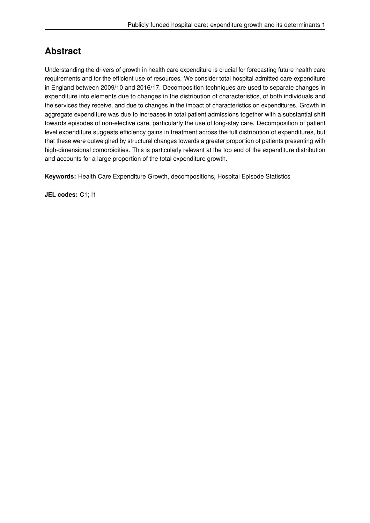# **Abstract**

Understanding the drivers of growth in health care expenditure is crucial for forecasting future health care requirements and for the efficient use of resources. We consider total hospital admitted care expenditure in England between 2009/10 and 2016/17. Decomposition techniques are used to separate changes in expenditure into elements due to changes in the distribution of characteristics, of both individuals and the services they receive, and due to changes in the impact of characteristics on expenditures. Growth in aggregate expenditure was due to increases in total patient admissions together with a substantial shift towards episodes of non-elective care, particularly the use of long-stay care. Decomposition of patient level expenditure suggests efficiency gains in treatment across the full distribution of expenditures, but that these were outweighed by structural changes towards a greater proportion of patients presenting with high-dimensional comorbidities. This is particularly relevant at the top end of the expenditure distribution and accounts for a large proportion of the total expenditure growth.

**Keywords:** Health Care Expenditure Growth, decompositions, Hospital Episode Statistics

**JEL codes:** C1; I1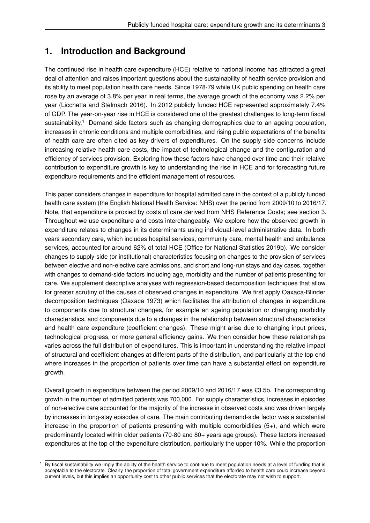# **1. Introduction and Background**

The continued rise in health care expenditure (HCE) relative to national income has attracted a great deal of attention and raises important questions about the sustainability of health service provision and its ability to meet population health care needs. Since 1978-79 while UK public spending on health care rose by an average of 3.8% per year in real terms, the average growth of the economy was 2.2% per year (Licchetta and Stelmach 2016). In 2012 publicly funded HCE represented approximately 7.4% of GDP. The year-on-year rise in HCE is considered one of the greatest challenges to long-term fiscal sustainability.<sup>1</sup> Demand side factors such as changing demographics due to an ageing population, increases in chronic conditions and multiple comorbidities, and rising public expectations of the benefits of health care are often cited as key drivers of expenditures. On the supply side concerns include increasing relative health care costs, the impact of technological change and the configuration and efficiency of services provision. Exploring how these factors have changed over time and their relative contribution to expenditure growth is key to understanding the rise in HCE and for forecasting future expenditure requirements and the efficient management of resources.

This paper considers changes in expenditure for hospital admitted care in the context of a publicly funded health care system (the English National Health Service: NHS) over the period from 2009/10 to 2016/17. Note, that expenditure is proxied by costs of care derived from NHS Reference Costs; see section 3. Throughout we use expenditure and costs interchangeably. We explore how the observed growth in expenditure relates to changes in its determinants using individual-level administrative data. In both years secondary care, which includes hospital services, community care, mental health and ambulance services, accounted for around 62% of total HCE (Office for National Statistics 2019b). We consider changes to supply-side (or institutional) characteristics focusing on changes to the provision of services between elective and non-elective care admissions, and short and long-run stays and day cases, together with changes to demand-side factors including age, morbidity and the number of patients presenting for care. We supplement descriptive analyses with regression-based decomposition techniques that allow for greater scrutiny of the causes of observed changes in expenditure. We first apply Oaxaca-Blinder decomposition techniques (Oaxaca 1973) which facilitates the attribution of changes in expenditure to components due to structural changes, for example an ageing population or changing morbidity characteristics, and components due to a changes in the relationship between structural characteristics and health care expenditure (coefficient changes). These might arise due to changing input prices, technological progress, or more general efficiency gains. We then consider how these relationships varies across the full distribution of expenditures. This is important in understanding the relative impact of structural and coefficient changes at different parts of the distribution, and particularly at the top end where increases in the proportion of patients over time can have a substantial effect on expenditure growth.

Overall growth in expenditure between the period 2009/10 and 2016/17 was £3.5b. The corresponding growth in the number of admitted patients was 700,000. For supply characteristics, increases in episodes of non-elective care accounted for the majority of the increase in observed costs and was driven largely by increases in long-stay episodes of care. The main contributing demand-side factor was a substantial increase in the proportion of patients presenting with multiple comorbidities  $(5+)$ , and which were predominantly located within older patients (70-80 and 80+ years age groups). These factors increased expenditures at the top of the expenditure distribution, particularly the upper 10%. While the proportion

<sup>&</sup>lt;sup>1</sup> By fiscal sustainability we imply the ability of the health service to continue to meet population needs at a level of funding that is acceptable to the electorate. Clearly, the proportion of total government expenditure afforded to health care could increase beyond current levels, but this implies an opportunity cost to other public services that the electorate may not wish to support.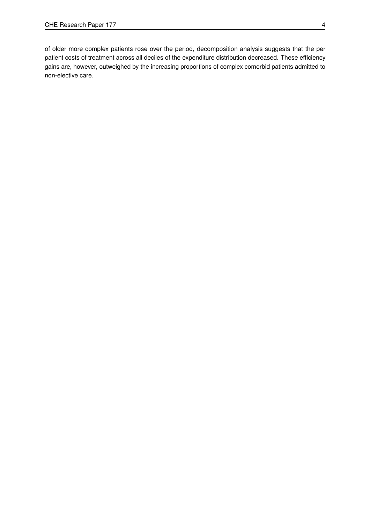of older more complex patients rose over the period, decomposition analysis suggests that the per patient costs of treatment across all deciles of the expenditure distribution decreased. These efficiency gains are, however, outweighed by the increasing proportions of complex comorbid patients admitted to non-elective care.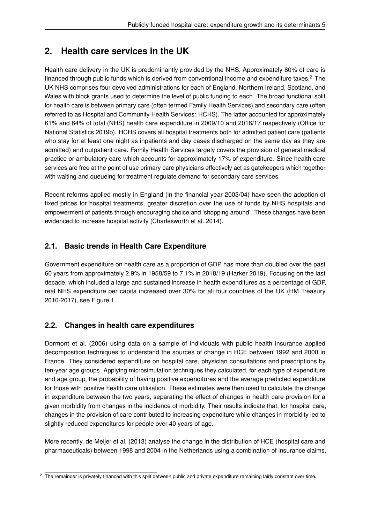# **2. Health care services in the UK**

Health care delivery in the UK is predominantly provided by the NHS. Approximately 80% of care is financed through public funds which is derived from conventional income and expenditure taxes. $2$  The UK NHS comprises four devolved administrations for each of England, Northern Ireland, Scotland, and Wales with block grants used to determine the level of public funding to each. The broad functional split for health care is between primary care (often termed Family Health Services) and secondary care (often referred to as Hospital and Community Health Services: HCHS). The latter accounted for approximately 61% and 64% of total (NHS) health care expenditure in 2009/10 and 2016/17 respectively (Office for National Statistics 2019b). HCHS covers all hospital treatments both for admitted patient care (patients who stay for at least one night as inpatients and day cases discharged on the same day as they are admitted) and outpatient care. Family Health Services largely covers the provision of general medical practice or ambulatory care which accounts for approximately 17% of expenditure. Since health care services are free at the point of use primary care physicians effectively act as gatekeepers which together with waiting and queueing for treatment regulate demand for secondary care services.

Recent reforms applied mostly in England (in the financial year 2003/04) have seen the adoption of fixed prices for hospital treatments, greater discretion over the use of funds by NHS hospitals and empowerment of patients through encouraging choice and 'shopping around'. These changes have been evidenced to increase hospital activity (Charlesworth et al. 2014).

# **2.1. Basic trends in Health Care Expenditure**

Government expenditure on health care as a proportion of GDP has more than doubled over the past 60 years from approximately 2.9% in 1958/59 to 7.1% in 2018/19 (Harker 2019). Focusing on the last decade, which included a large and sustained increase in health expenditures as a percentage of GDP, real NHS expenditure per capita increased over 30% for all four countries of the UK (HM Treasury 2010-2017), see Figure 1.

# **2.2. Changes in health care expenditures**

Dormont et al. (2006) using data on a sample of individuals with public health insurance applied decomposition techniques to understand the sources of change in HCE between 1992 and 2000 in France. They considered expenditure on hospital care, physician consultations and prescriptions by ten-year age groups. Applying microsimulation techniques they calculated, for each type of expenditure and age group, the probability of having positive expenditures and the average predicted expenditure for those with positive health care utilisation. These estimates were then used to calculate the change in expenditure between the two years, separating the effect of changes in health care provision for a given morbidity from changes in the incidence of morbidity. Their results indicate that, for hospital care, changes in the provision of care contributed to increasing expenditure while changes in morbidity led to slightly reduced expenditures for people over 40 years of age.

More recently, de Meijer et al. (2013) analyse the change in the distribution of HCE (hospital care and pharmaceuticals) between 1998 and 2004 in the Netherlands using a combination of insurance claims,

 $2$  The remainder is privately financed with this split between public and private expenditure remaining fairly constant over time.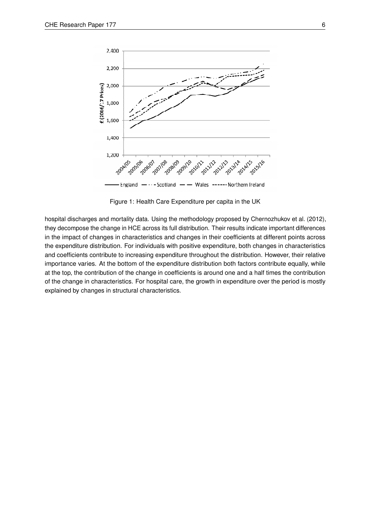

Figure 1: Health Care Expenditure per capita in the UK

hospital discharges and mortality data. Using the methodology proposed by Chernozhukov et al. (2012), they decompose the change in HCE across its full distribution. Their results indicate important differences in the impact of changes in characteristics and changes in their coefficients at different points across the expenditure distribution. For individuals with positive expenditure, both changes in characteristics and coefficients contribute to increasing expenditure throughout the distribution. However, their relative importance varies. At the bottom of the expenditure distribution both factors contribute equally, while at the top, the contribution of the change in coefficients is around one and a half times the contribution of the change in characteristics. For hospital care, the growth in expenditure over the period is mostly explained by changes in structural characteristics.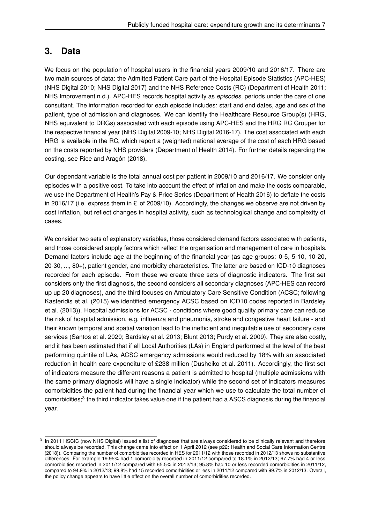# **3. Data**

We focus on the population of hospital users in the financial years 2009/10 and 2016/17. There are two main sources of data: the Admitted Patient Care part of the Hospital Episode Statistics (APC-HES) (NHS Digital 2010; NHS Digital 2017) and the NHS Reference Costs (RC) (Department of Health 2011; NHS Improvement n.d.). APC-HES records hospital activity as *episodes*, periods under the care of one consultant. The information recorded for each episode includes: start and end dates, age and sex of the patient, type of admission and diagnoses. We can identify the Healthcare Resource Group(s) (HRG, NHS equivalent to DRGs) associated with each episode using APC-HES and the HRG RC Grouper for the respective financial year (NHS Digital 2009-10; NHS Digital 2016-17). The cost associated with each HRG is available in the RC, which report a (weighted) national average of the cost of each HRG based on the costs reported by NHS providers (Department of Health 2014). For further details regarding the costing, see Rice and Aragón (2018).

Our dependant variable is the total annual cost per patient in 2009/10 and 2016/17. We consider only episodes with a positive cost. To take into account the effect of inflation and make the costs comparable, we use the Department of Health's Pay & Price Series (Department of Health 2016) to deflate the costs in 2016/17 (i.e. express them in  $E$  of 2009/10). Accordingly, the changes we observe are not driven by cost inflation, but reflect changes in hospital activity, such as technological change and complexity of cases.

We consider two sets of explanatory variables, those considered demand factors associated with patients, and those considered supply factors which reflect the organisation and management of care in hospitals. Demand factors include age at the beginning of the financial year (as age groups: 0-5, 5-10, 10-20, 20-30, ..., 80+), patient gender, and morbidity characteristics. The latter are based on ICD-10 diagnoses recorded for each episode. From these we create three sets of diagnostic indicators. The first set considers only the first diagnosis, the second considers all secondary diagnoses (APC-HES can record up up 20 diagnoses), and the third focuses on Ambulatory Care Sensitive Condition (ACSC; following Kasteridis et al. (2015) we identified emergency ACSC based on ICD10 codes reported in Bardsley et al. (2013)). Hospital admissions for ACSC - conditions where good quality primary care can reduce the risk of hospital admission, e.g. influenza and pneumonia, stroke and congestive heart failure - and their known temporal and spatial variation lead to the inefficient and inequitable use of secondary care services (Santos et al. 2020; Bardsley et al. 2013; Blunt 2013; Purdy et al. 2009). They are also costly, and it has been estimated that if all Local Authorities (LAs) in England performed at the level of the best performing quintile of LAs, ACSC emergency admissions would reduced by 18% with an associated reduction in health care expenditure of £238 million (Dusheiko et al. 2011). Accordingly, the first set of indicators measure the different reasons a patient is admitted to hospital (multiple admissions with the same primary diagnosis will have a single indicator) while the second set of indicators measures comorbidities the patient had during the financial year which we use to calculate the total number of comorbidities;<sup>3</sup> the third indicator takes value one if the patient had a ASCS diagnosis during the financial year.

<sup>&</sup>lt;sup>3</sup> In 2011 HSCIC (now NHS Digital) issued a list of diagnoses that are always considered to be clinically relevant and therefore should always be recorded. This change came into effect on 1 April 2012 (see p22: Health and Social Care Information Centre (2018)). Comparing the number of comorbidities recorded in HES for 2011/12 with those recorded in 2012/13 shows no substantive differences. For example 19.95% had 1 comorbidity recorded in 2011/12 compared to 18.1% in 2012/13; 67.7% had 4 or less comorbidities recorded in 2011/12 compared with 65.5% in 2012/13; 95.8% had 10 or less recorded comorbidities in 2011/12, compared to 94.9% in 2012/13; 99.8% had 15 recorded comorbidities or less in 2011/12 compared with 99.7% in 2012/13. Overall, the policy change appears to have little effect on the overall number of comorbidities recorded.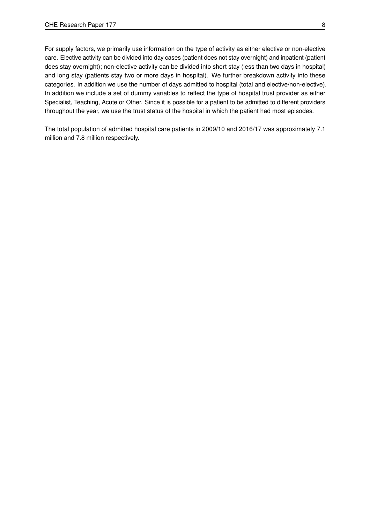For supply factors, we primarily use information on the type of activity as either elective or non-elective care. Elective activity can be divided into day cases (patient does not stay overnight) and inpatient (patient does stay overnight); non-elective activity can be divided into short stay (less than two days in hospital) and long stay (patients stay two or more days in hospital). We further breakdown activity into these categories. In addition we use the number of days admitted to hospital (total and elective/non-elective). In addition we include a set of dummy variables to reflect the type of hospital trust provider as either Specialist, Teaching, Acute or Other. Since it is possible for a patient to be admitted to different providers throughout the year, we use the trust status of the hospital in which the patient had most episodes.

The total population of admitted hospital care patients in 2009/10 and 2016/17 was approximately 7.1 million and 7.8 million respectively.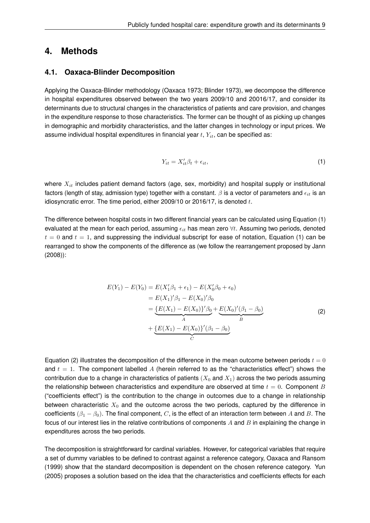# **4. Methods**

#### **4.1. Oaxaca-Blinder Decomposition**

Applying the Oaxaca-Blinder methodology (Oaxaca 1973; Blinder 1973), we decompose the difference in hospital expenditures observed between the two years 2009/10 and 20016/17, and consider its determinants due to structural changes in the characteristics of patients and care provision, and changes in the expenditure response to those characteristics. The former can be thought of as picking up changes in demographic and morbidity characteristics, and the latter changes in technology or input prices. We assume individual hospital expenditures in financial year  $t$ ,  $Y_{it}$ , can be specified as:

$$
Y_{it} = X_{it}'\beta_t + \epsilon_{it},\tag{1}
$$

where  $X_{it}$  includes patient demand factors (age, sex, morbidity) and hospital supply or institutional factors (length of stay, admission type) together with a constant.  $\beta$  is a vector of parameters and  $\epsilon_{it}$  is an idiosyncratic error. The time period, either 2009/10 or 2016/17, is denoted  $t$ .

The difference between hospital costs in two different financial years can be calculated using Equation (1) evaluated at the mean for each period, assuming  $\epsilon_{it}$  has mean zero  $\forall t$ . Assuming two periods, denoted  $t = 0$  and  $t = 1$ , and suppressing the individual subscript for ease of notation, Equation (1) can be rearranged to show the components of the difference as (we follow the rearrangement proposed by Jann (2008)):

$$
E(Y_1) - E(Y_0) = E(X'_1 \beta_1 + \epsilon_1) - E(X'_0 \beta_0 + \epsilon_0)
$$
  
=  $E(X_1)'\beta_1 - E(X_0)'\beta_0$   
=  $\underbrace{\{E(X_1) - E(X_0)\}'\beta_0}_{A} + \underbrace{E(X_0)'\beta_1 - \beta_0}_{B}$  (2)  
+  $\underbrace{\{E(X_1) - E(X_0)\}'(\beta_1 - \beta_0)}_{C}$ 

Equation (2) illustrates the decomposition of the difference in the mean outcome between periods  $t = 0$ and  $t = 1$ . The component labelled A (herein referred to as the "characteristics effect") shows the contribution due to a change in characteristics of patients  $(X_0$  and  $X_1)$  across the two periods assuming the relationship between characteristics and expenditure are observed at time  $t = 0$ . Component B ("coefficients effect") is the contribution to the change in outcomes due to a change in relationship between characteristic  $X_0$  and the outcome across the two periods, captured by the difference in coefficients ( $\beta_1 - \beta_0$ ). The final component, C, is the effect of an interaction term between A and B. The focus of our interest lies in the relative contributions of components  $A$  and  $B$  in explaining the change in expenditures across the two periods.

The decomposition is straightforward for cardinal variables. However, for categorical variables that require a set of dummy variables to be defined to contrast against a reference category, Oaxaca and Ransom (1999) show that the standard decomposition is dependent on the chosen reference category. Yun (2005) proposes a solution based on the idea that the characteristics and coefficients effects for each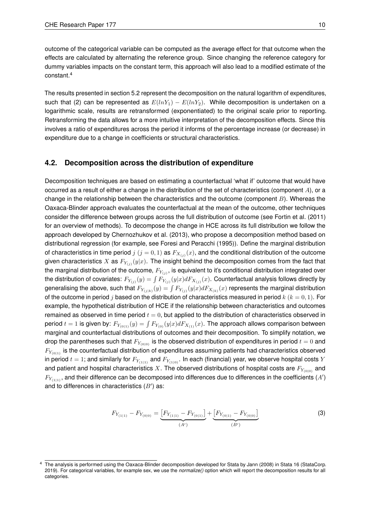outcome of the categorical variable can be computed as the average effect for that outcome when the effects are calculated by alternating the reference group. Since changing the reference category for dummy variables impacts on the constant term, this approach will also lead to a modified estimate of the constant.<sup>4</sup>

The results presented in section 5.2 represent the decomposition on the natural logarithm of expenditures, such that (2) can be represented as  $E(lnY_1) - E(lnY_2)$ . While decomposition is undertaken on a logarithmic scale, results are retransformed (exponentiated) to the original scale prior to reporting. Retransforming the data allows for a more intuitive interpretation of the decomposition effects. Since this involves a ratio of expenditures across the period it informs of the percentage increase (or decrease) in expenditure due to a change in coefficients or structural characteristics.

## **4.2. Decomposition across the distribution of expenditure**

Decomposition techniques are based on estimating a counterfactual 'what if' outcome that would have occurred as a result of either a change in the distribution of the set of characteristics (component  $A$ ), or a change in the relationship between the characteristics and the outcome (component  $B$ ). Whereas the Oaxaca-Blinder approach evaluates the counterfactual at the mean of the outcome, other techniques consider the difference between groups across the full distribution of outcome (see Fortin et al. (2011) for an overview of methods). To decompose the change in HCE across its full distribution we follow the approach developed by Chernozhukov et al. (2013), who propose a decomposition method based on distributional regression (for example, see Foresi and Peracchi (1995)). Define the marginal distribution of characteristics in time period  $j\ (j=0,1)$  as  $F_{X_{(j)}}(x),$  and the conditional distribution of the outcome given characteristics  $X$  as  $F_{Y_{(j)}}(y|x).$  The insight behind the decomposition comes from the fact that the marginal distribution of the outcome,  $F_{Y_{(j)}}$ , is equivalent to it's conditional distribution integrated over the distribution of covariates:  $F_{Y_{(j)}}(y)=\int F_{Y_{(j)}}(y|x)dF_{X_{(j)}}(x).$  Counterfactual analysis follows directly by generalising the above, such that  $F_{Y_{(j|k)}}(y)=\int F_{Y_{(j)}}(y|x)dF_{X_{(k)}}(x)$  represents the marginal distribution of the outcome in period j based on the distribution of characteristics measured in period  $k (k = 0, 1)$ . For example, the hypothetical distribution of HCE if the relationship between characteristics and outcomes remained as observed in time period  $t = 0$ , but applied to the distribution of characteristics observed in period  $t=1$  is given by:  $F_{Y_{(0|1)}}(y)=\int F_{Y_{(0)}}(y|x)dF_{X_{(1)}}(x).$  The approach allows comparison between marginal and counterfactual distributions of outcomes and their decomposition. To simplify notation, we drop the parentheses such that  $F_{Y_{(0|0)}}$  is the observed distribution of expenditures in period  $t = 0$  and  $F_{Y_{(0|1)}}$  is the counterfactual distribution of expenditures assuming patients had characteristics observed in period  $t = 1$ ; and similarly for  $F_{Y_{(1|1)}}$  and  $F_{Y_{(1|0)}}$ . In each (financial) year, we observe hospital costs Y and patient and hospital characteristics X. The observed distributions of hospital costs are  $F_{Y_{(0|0)}}$  and  $F_{Y_{(1|1)}}$ , and their difference can be decomposed into differences due to differences in the coefficients  $(A^{\prime})$ and to differences in characteristics  $(B')$  as:

$$
F_{Y_{(1|1)}} - F_{Y_{(0|0)}} = \underbrace{\left[F_{Y_{(1|1)}} - F_{Y_{(0|1)}}\right]}_{(A')} + \underbrace{\left[F_{Y_{(0|1)}} - F_{Y_{(0|0)}}\right]}_{(B')}
$$
\n(3)

<sup>4</sup> The analysis is performed using the Oaxaca-Blinder decomposition developed for Stata by Jann (2008) in Stata 16 (StataCorp. 2019). For categorical variables, for example sex, we use the *normalize()* option which will report the decomposition results for all categories.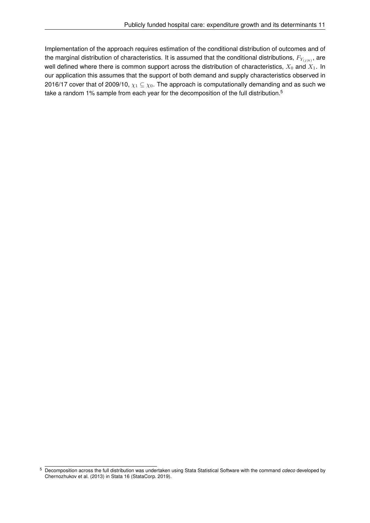Implementation of the approach requires estimation of the conditional distribution of outcomes and of the marginal distribution of characteristics. It is assumed that the conditional distributions,  $F_{Y_{(j|k)}}$ , are well defined where there is common support across the distribution of characteristics,  $X_0$  and  $X_1$ . In our application this assumes that the support of both demand and supply characteristics observed in 2016/17 cover that of 2009/10,  $\chi_1 \subseteq \chi_0$ . The approach is computationally demanding and as such we take a random 1% sample from each year for the decomposition of the full distribution.<sup>5</sup>

<sup>5</sup> Decomposition across the full distribution was undertaken using Stata Statistical Software with the command *cdeco* developed by Chernozhukov et al. (2013) in Stata 16 (StataCorp. 2019).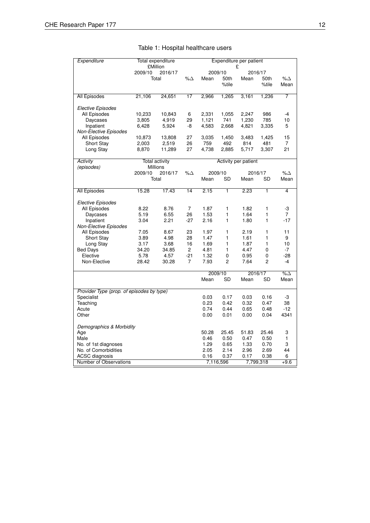| Expenditure                               | Total expenditure                     |                       |                         | Expenditure per patient<br>£ |                |                      |                |               |
|-------------------------------------------|---------------------------------------|-----------------------|-------------------------|------------------------------|----------------|----------------------|----------------|---------------|
|                                           | <b>£Million</b><br>2009/10<br>2016/17 |                       |                         | 2009/10                      |                | 2016/17              |                |               |
|                                           |                                       | Total                 | % $\Delta$              | Mean                         | 50th           | Mean                 | 50th           | % $\Delta$    |
|                                           |                                       |                       |                         |                              | %tile          |                      | %tile          | Mean          |
|                                           |                                       |                       |                         |                              |                |                      |                |               |
| All Episodes                              | 21,106                                | 24,651                | 17                      | 2,966                        | 1,265          | 3,161                | 1,236          | 7             |
|                                           |                                       |                       |                         |                              |                |                      |                |               |
| <b>Elective Episodes</b>                  |                                       |                       |                         |                              |                |                      |                |               |
| All Episodes                              | 10,233                                | 10,843                | 6                       | 2,331                        | 1,055          | 2,247                | 986            | $-4$          |
| Daycases                                  | 3,805                                 | 4,919                 | 29                      | 1,121                        | 741            | 1,230                | 785            | 10            |
| Inpatient                                 | 6,428                                 | 5,924                 | -8                      | 4,583                        | 2,668          | 4,821                | 3,335          | 5             |
| Non-Elective Episodes                     |                                       |                       | 27                      | 3,035                        | 1,450          | 3,483                | 1,425          | 15            |
| All Episodes<br><b>Short Stay</b>         | 10,873<br>2,003                       | 13,808<br>2,519       | 26                      | 759                          | 492            | 814                  | 481            | 7             |
| Long Stay                                 | 8,870                                 | 11,289                | 27                      | 4,738                        | 2,885          | 5,717                | 3,307          | 21            |
|                                           |                                       |                       |                         |                              |                |                      |                |               |
| <b>Activity</b>                           |                                       | <b>Total activity</b> |                         |                              |                | Activity per patient |                |               |
| (episodes)                                |                                       | Millions              |                         |                              |                |                      |                |               |
|                                           | 2009/10                               | 2016/17               | % $\Delta$              | 2009/10                      |                | 2016/17              |                | % $\Delta$    |
|                                           |                                       | Total                 |                         | Mean                         | <b>SD</b>      | Mean                 | SD             | Mean          |
| All Episodes                              | 15.28                                 | 17.43                 | 14                      | 2.15                         | $\overline{1}$ | 2.23                 | $\overline{1}$ | 4             |
|                                           |                                       |                       |                         |                              |                |                      |                |               |
| <b>Elective Episodes</b>                  |                                       |                       |                         |                              |                |                      |                |               |
| All Episodes                              | 8.22                                  | 8.76                  | 7                       | 1.87                         | 1              | 1.82                 | 1              | -3            |
| Daycases                                  | 5.19                                  | 6.55                  | 26                      | 1.53                         | 1              | 1.64                 | 1              | 7             |
| Inpatient                                 | 3.04                                  | 2.21                  | $-27$                   | 2.16                         | 1              | 1.80                 | 1              | $-17$         |
| <b>Non-Elective Episodes</b>              |                                       |                       |                         |                              |                |                      |                |               |
| All Episodes                              | 7.05                                  | 8.67                  | 23                      | 1.97                         | 1              | 2.19                 | 1              | 11            |
| <b>Short Stay</b>                         | 3.89                                  | 4.98                  | 28                      | 1.47                         | 1              | 1.61                 | 1              | 9             |
| Long Stay                                 | 3.17                                  | 3.68                  | 16                      | 1.69                         | 1              | 1.87                 | 1              | 10            |
| <b>Bed Days</b><br>Elective               | 34.20                                 | 34.85                 | 2                       | 4.81                         | 1              | 4.47                 | 0              | $-7$          |
| Non-Elective                              | 5.78<br>28.42                         | 4.57<br>30.28         | $-21$<br>$\overline{7}$ | 1.32<br>7.93                 | 0<br>2         | 0.95<br>7.64         | 0<br>2         | $-28$<br>$-4$ |
|                                           |                                       |                       |                         |                              |                |                      |                |               |
|                                           |                                       |                       |                         | 2009/10                      |                | 2016/17              |                | $\sqrt{200}$  |
|                                           |                                       |                       |                         | Mean                         | <b>SD</b>      | Mean                 | <b>SD</b>      | Mean          |
| Provider Type (prop. of episodes by type) |                                       |                       |                         |                              |                |                      |                |               |
| Specialist                                |                                       |                       |                         | 0.03                         | 0.17           | 0.03                 | 0.16           | -3            |
| Teaching                                  |                                       |                       |                         | 0.23                         | 0.42           | 0.32                 | 0.47           | 38            |
| Acute                                     |                                       |                       |                         | 0.74                         | 0.44           | 0.65                 | 0.48           | $-12$         |
| Other                                     |                                       |                       |                         | 0.00                         | 0.01           | 0.00                 | 0.04           | 4341          |
| Demographics & Morbidity                  |                                       |                       |                         |                              |                |                      |                |               |
| Age                                       |                                       |                       |                         | 50.28                        | 25.45          | 51.83                | 25.46          | 3             |
| Male                                      |                                       |                       |                         | 0.46                         | 0.50           | 0.47                 | 0.50           | 1             |
| No. of 1st diagnoses                      |                                       |                       |                         | 1.29                         | 0.65           | 1.33                 | 0.70           | 3             |
| No. of Comorbidities                      |                                       |                       |                         | 2.05                         | 2.14           | 2.96                 | 2.69           | 44            |
| <b>ACSC</b> diagnosis                     |                                       |                       |                         | 0.16                         | 0.37           | 0.17                 | 0.38           | 6             |
| Number of Observations                    |                                       |                       |                         | 7,116,596                    |                |                      | 7,799,318      | $+9.6$        |

# Table 1: Hospital healthcare users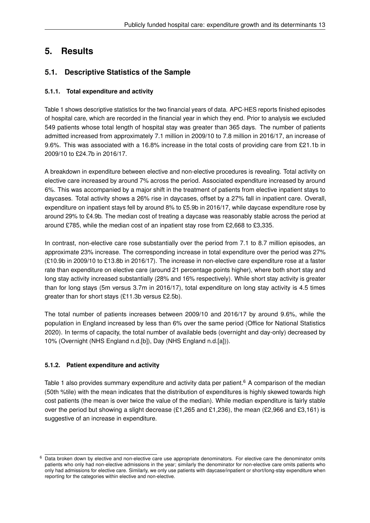# **5. Results**

# **5.1. Descriptive Statistics of the Sample**

# **5.1.1. Total expenditure and activity**

Table 1 shows descriptive statistics for the two financial years of data. APC-HES reports finished episodes of hospital care, which are recorded in the financial year in which they end. Prior to analysis we excluded 549 patients whose total length of hospital stay was greater than 365 days. The number of patients admitted increased from approximately 7.1 million in 2009/10 to 7.8 million in 2016/17, an increase of 9.6%. This was associated with a 16.8% increase in the total costs of providing care from £21.1b in 2009/10 to £24.7b in 2016/17.

A breakdown in expenditure between elective and non-elective procedures is revealing. Total activity on elective care increased by around 7% across the period. Associated expenditure increased by around 6%. This was accompanied by a major shift in the treatment of patients from elective inpatient stays to daycases. Total activity shows a 26% rise in daycases, offset by a 27% fall in inpatient care. Overall, expenditure on inpatient stays fell by around 8% to £5.9b in 2016/17, while daycase expenditure rose by around 29% to £4.9b. The median cost of treating a daycase was reasonably stable across the period at around £785, while the median cost of an inpatient stay rose from £2,668 to £3,335.

In contrast, non-elective care rose substantially over the period from 7.1 to 8.7 million episodes, an approximate 23% increase. The corresponding increase in total expenditure over the period was 27% (£10.9b in 2009/10 to £13.8b in 2016/17). The increase in non-elective care expenditure rose at a faster rate than expenditure on elective care (around 21 percentage points higher), where both short stay and long stay activity increased substantially (28% and 16% respectively). While short stay activity is greater than for long stays (5m versus 3.7m in 2016/17), total expenditure on long stay activity is 4.5 times greater than for short stays (£11.3b versus £2.5b).

The total number of patients increases between 2009/10 and 2016/17 by around 9.6%, while the population in England increased by less than 6% over the same period (Office for National Statistics 2020). In terms of capacity, the total number of available beds (overnight and day-only) decreased by 10% (Overnight (NHS England n.d.[b]), Day (NHS England n.d.[a])).

# **5.1.2. Patient expenditure and activity**

Table 1 also provides summary expenditure and activity data per patient.<sup>6</sup> A comparison of the median (50th %tile) with the mean indicates that the distribution of expenditures is highly skewed towards high cost patients (the mean is over twice the value of the median). While median expenditure is fairly stable over the period but showing a slight decrease  $(E1,265 \text{ and } E1,236)$ , the mean  $(E2,966 \text{ and } E3,161)$  is suggestive of an increase in expenditure.

 $6$  Data broken down by elective and non-elective care use appropriate denominators. For elective care the denominator omits patients who only had non-elective admissions in the year; similarly the denominator for non-elective care omits patients who only had admissions for elective care. Similarly, we only use patients with daycase/inpatient or short/long-stay expenditure when reporting for the categories within elective and non-elective.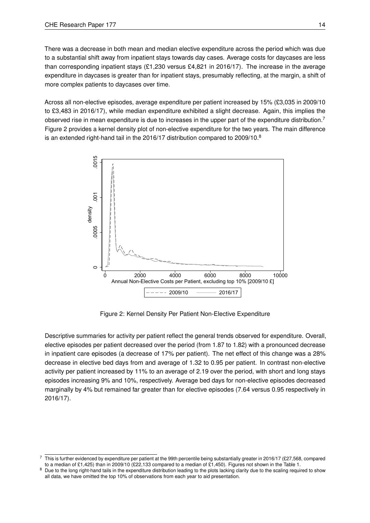There was a decrease in both mean and median elective expenditure across the period which was due to a substantial shift away from inpatient stays towards day cases. Average costs for daycases are less than corresponding inpatient stays (£1,230 versus £4,821 in 2016/17). The increase in the average expenditure in daycases is greater than for inpatient stays, presumably reflecting, at the margin, a shift of more complex patients to daycases over time.

Across all non-elective episodes, average expenditure per patient increased by 15% (£3,035 in 2009/10 to £3,483 in 2016/17), while median expenditure exhibited a slight decrease. Again, this implies the observed rise in mean expenditure is due to increases in the upper part of the expenditure distribution.<sup>7</sup> Figure 2 provides a kernel density plot of non-elective expenditure for the two years. The main difference is an extended right-hand tail in the 2016/17 distribution compared to 2009/10.<sup>8</sup>



Figure 2: Kernel Density Per Patient Non-Elective Expenditure

Descriptive summaries for activity per patient reflect the general trends observed for expenditure. Overall, elective episodes per patient decreased over the period (from 1.87 to 1.82) with a pronounced decrease in inpatient care episodes (a decrease of 17% per patient). The net effect of this change was a 28% decrease in elective bed days from and average of 1.32 to 0.95 per patient. In contrast non-elective activity per patient increased by 11% to an average of 2.19 over the period, with short and long stays episodes increasing 9% and 10%, respectively. Average bed days for non-elective episodes decreased marginally by 4% but remained far greater than for elective episodes (7.64 versus 0.95 respectively in 2016/17).

 $7$  This is further evidenced by expenditure per patient at the 99th percentile being substantially greater in 2016/17 (£27,568, compared to a median of £1,425) than in 2009/10 (£22,133 compared to a median of £1,450). Figures not shown in the Table 1.

<sup>&</sup>lt;sup>8</sup> Due to the long right-hand tails in the expenditure distribution leading to the plots lacking clarity due to the scaling required to show all data, we have omitted the top 10% of observations from each year to aid presentation.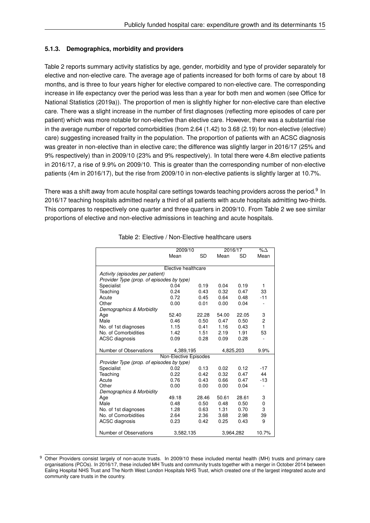#### **5.1.3. Demographics, morbidity and providers**

Table 2 reports summary activity statistics by age, gender, morbidity and type of provider separately for elective and non-elective care. The average age of patients increased for both forms of care by about 18 months, and is three to four years higher for elective compared to non-elective care. The corresponding increase in life expectancy over the period was less than a year for both men and women (see Office for National Statistics (2019a)). The proportion of men is slightly higher for non-elective care than elective care. There was a slight increase in the number of first diagnoses (reflecting more episodes of care per patient) which was more notable for non-elective than elective care. However, there was a substantial rise in the average number of reported comorbidities (from 2.64 (1.42) to 3.68 (2.19) for non-elective (elective) care) suggesting increased frailty in the population. The proportion of patients with an ACSC diagnosis was greater in non-elective than in elective care; the difference was slightly larger in 2016/17 (25% and 9% respectively) than in 2009/10 (23% and 9% respectively). In total there were 4.8m elective patients in 2016/17, a rise of 9.9% on 2009/10. This is greater than the corresponding number of non-elective patients (4m in 2016/17), but the rise from 2009/10 in non-elective patients is slightly larger at 10.7%.

There was a shift away from acute hospital care settings towards teaching providers across the period. $^9\,$  In 2016/17 teaching hospitals admitted nearly a third of all patients with acute hospitals admitting two-thirds. This compares to respectively one quarter and three quarters in 2009/10. From Table 2 we see similar proportions of elective and non-elective admissions in teaching and acute hospitals.

|                                           | 2009/10               |       | 2016/17 | $\overline{\%}\Delta$ |       |  |  |  |
|-------------------------------------------|-----------------------|-------|---------|-----------------------|-------|--|--|--|
|                                           | Mean                  | SD    | Mean    | SD                    | Mean  |  |  |  |
|                                           |                       |       |         |                       |       |  |  |  |
|                                           | Elective healthcare   |       |         |                       |       |  |  |  |
| Activity (episodes per patient)           |                       |       |         |                       |       |  |  |  |
| Provider Type (prop. of episodes by type) |                       |       |         |                       |       |  |  |  |
| Specialist                                | 0.04                  | 0.19  | 0.04    | 0.19                  | 1     |  |  |  |
| Teaching                                  | 0.24                  | 0.43  | 0.32    | 0.47                  | 33    |  |  |  |
| Acute                                     | 0.72                  | 0.45  | 0.64    | 0.48                  | $-11$ |  |  |  |
| Other                                     | 0.00                  | 0.01  | 0.00    | 0.04                  |       |  |  |  |
| Demographics & Morbidity                  |                       |       |         |                       |       |  |  |  |
| Age                                       | 52.40                 | 22.28 | 54.00   | 22.05                 | 3     |  |  |  |
| Male                                      | 0.46                  | 0.50  | 0.47    | 0.50                  | 2     |  |  |  |
| No. of 1st diagnoses                      | 1.15                  | 0.41  | 1.16    | 0.43                  | 1     |  |  |  |
| No. of Comorbidities                      | 1.42                  | 1.51  | 2.19    | 1.91                  | 53    |  |  |  |
| <b>ACSC</b> diagnosis                     | 0.09                  | 0.28  | 0.09    | 0.28                  | ÷     |  |  |  |
|                                           |                       |       |         |                       |       |  |  |  |
| Number of Observations                    | 4,389,195             |       |         | 4,825,203             | 9.9%  |  |  |  |
|                                           | Non-Elective Episodes |       |         |                       |       |  |  |  |
| Provider Type (prop. of episodes by type) |                       |       |         |                       |       |  |  |  |
| Specialist                                | 0.02                  | 0.13  | 0.02    | 0.12                  | $-17$ |  |  |  |
| Teaching                                  | 0.22                  | 0.42  | 0.32    | 0.47                  | 44    |  |  |  |
| Acute                                     | 0.76                  | 0.43  | 0.66    | 0.47                  | $-13$ |  |  |  |
| Other                                     | 0.00                  | 0.00  | 0.00    | 0.04                  |       |  |  |  |
| Demographics & Morbidity                  |                       |       |         |                       |       |  |  |  |
| Age                                       | 49.18                 | 28.46 | 50.61   | 28.61                 | 3     |  |  |  |
| Male                                      | 0.48                  | 0.50  | 0.48    | 0.50                  | 0     |  |  |  |
| No. of 1st diagnoses                      | 1.28                  | 0.63  | 1.31    | 0.70                  | 3     |  |  |  |
| No. of Comorbidities                      | 2.64                  | 2.36  | 3.68    | 2.98                  | 39    |  |  |  |
| <b>ACSC</b> diagnosis                     | 0.23                  | 0.42  | 0.25    | 0.43                  | 9     |  |  |  |
|                                           |                       |       |         |                       |       |  |  |  |
| Number of Observations                    | 3,582,135             |       |         | 3,964,282             | 10.7% |  |  |  |

Table 2: Elective / Non-Elective healthcare users

<sup>9</sup> Other Providers consist largely of non-acute trusts. In 2009/10 these included mental health (MH) trusts and primary care organisations (PCOs). In 2016/17, these included MH Trusts and community trusts together with a merger in October 2014 between Ealing Hospital NHS Trust and The North West London Hospitals NHS Trust, which created one of the largest integrated acute and community care trusts in the country.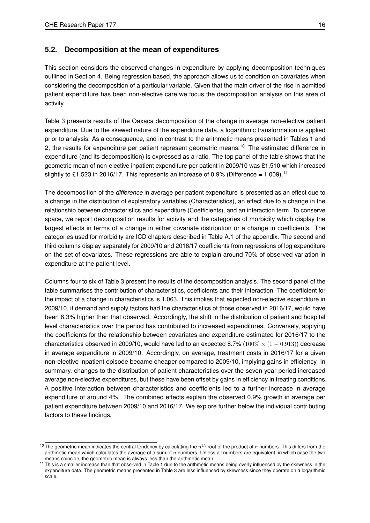## **5.2. Decomposition at the mean of expenditures**

This section considers the observed changes in expenditure by applying decomposition techniques outlined in Section 4. Being regression based, the approach allows us to condition on covariates when considering the decomposition of a particular variable. Given that the main driver of the rise in admitted patient expenditure has been non-elective care we focus the decomposition analysis on this area of activity.

Table 3 presents results of the Oaxaca decomposition of the change in average non-elective patient expenditure. Due to the skewed nature of the expenditure data, a logarithmic transformation is applied prior to analysis. As a consequence, and in contrast to the arithmetic means presented in Tables 1 and 2, the results for expenditure per patient represent geometric means.<sup>10</sup> The estimated difference in expenditure (and its decomposition) is expressed as a ratio. The top panel of the table shows that the geometric mean of non-elective inpatient expenditure per patient in 2009/10 was £1,510 which increased slightly to £1,523 in 2016/17. This represents an increase of 0.9% (Difference = 1.009).<sup>11</sup>

The decomposition of the *difference* in average per patient expenditure is presented as an effect due to a change in the distribution of explanatory variables (Characteristics), an effect due to a change in the relationship between characteristics and expenditure (Coefficients), and an interaction term. To conserve space, we report decomposition results for activity and the categories of morbidity which display the largest effects in terms of a change in either covariate distribution or a change in coefficients. The categories used for morbidity are ICD chapters described in Table A.1 of the appendix. The second and third columns display separately for 2009/10 and 2016/17 coefficients from regressions of log expenditure on the set of covariates. These regressions are able to explain around 70% of observed variation in expenditure at the patient level.

Columns four to six of Table 3 present the results of the decomposition analysis. The second panel of the table summarises the contribution of characteristics, coefficients and their interaction. The coefficient for the impact of a change in characteristics is 1.063. This implies that expected non-elective expenditure in 2009/10, if demand and supply factors had the characteristics of those observed in 2016/17, would have been 6.3% higher than that observed. Accordingly, the shift in the distribution of patient and hospital level characteristics over the period has contributed to increased expenditures. Conversely, applying the coefficients for the relationship between covariates and expenditure estimated for 2016/17 to the characteristics observed in 2009/10, would have led to an expected 8.7% ( $100\% \times (1-0.913)$ ) decrease in average expenditure in 2009/10. Accordingly, on average, treatment costs in 2016/17 for a given non-elective inpatient episode became cheaper compared to 2009/10, implying gains in efficiency. In summary, changes to the distribution of patient characteristics over the seven year period increased average non-elective expenditures, but these have been offset by gains in efficiency in treating conditions. A positive interaction between characteristics and coefficients led to a further increase in average expenditure of around 4%. The combined effects explain the observed 0.9% growth in average per patient expenditure between 2009/10 and 2016/17. We explore further below the individual contributing factors to these findings.

<sup>&</sup>lt;sup>10</sup> The geometric mean indicates the central tendency by calculating the  $n^{th}$  root of the product of n numbers. This differs from the arithmetic mean which calculates the average of a sum of  $n$  numbers. Unless all numbers are equivalent, in which case the two means coincide, the geometric mean is always less than the arithmetic mean.

<sup>&</sup>lt;sup>11</sup> This is a smaller increase than that observed in Table 1 due to the arithmetic means being overly influenced by the skewness in the expenditure data. The geometric means presented in Table 3 are less influenced by skewness since they operate on a logarithmic scale.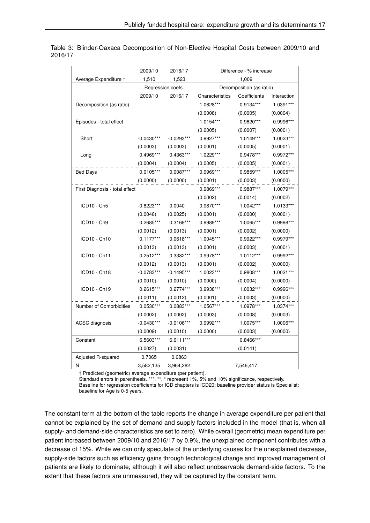|                                | 2009/10      | 2016/17           | Difference - % increase |                          |             |  |  |
|--------------------------------|--------------|-------------------|-------------------------|--------------------------|-------------|--|--|
| Average Expenditure †          | 1,510        | 1,523             |                         | 1,009                    |             |  |  |
|                                |              | Regression coefs. |                         | Decomposition (as ratio) |             |  |  |
|                                | 2009/10      | 2016/17           | Characteristics         | Coefficients             | Interaction |  |  |
| Decomposition (as ratio)       |              |                   | 1.0628***               | 0.9134***                | 1.0391***   |  |  |
|                                |              |                   | (0.0008)                | (0.0005)                 | (0.0004)    |  |  |
| Episodes - total effect        |              |                   | 1.0154***               | 0.9620***                | 0.9996***   |  |  |
|                                |              |                   | (0.0005)                | (0.0007)                 | (0.0001)    |  |  |
| Short                          | $-0.0430***$ | $-0.0293***$      | 0.9927***               | $1.0149***$              | 1.0023***   |  |  |
|                                | (0.0003)     | (0.0003)          | (0.0001)                | (0.0005)                 | (0.0001)    |  |  |
| Long                           | 0.4969***    | 0.4363***         | 1.0229***               | 0.9478***                | 0.9972***   |  |  |
|                                | (0.0004)     | (0.0004)          | (0.0005)                | (0.0005)                 | (0.0001)    |  |  |
| <b>Bed Days</b>                | $0.0105***$  | $0.0087***$       | 0.9969***               | 0.9859***                | 1.0005***   |  |  |
|                                | (0.0000)     | (0.0000)          | (0.0001)                | (0.0003)                 | (0.0000)    |  |  |
| First Diagnosis - total effect |              |                   | 0.9869***               | 0.9887***                | 1.0079***   |  |  |
|                                |              |                   | (0.0002)                | (0.0014)                 | (0.0002)    |  |  |
| ICD10 - Ch5                    | $-0.8223***$ | 0.0040            | 0.9870***               | 1.0042***                | 1.0133***   |  |  |
|                                | (0.0046)     | (0.0025)          | (0.0001)                | (0.0000)                 | (0.0001)    |  |  |
| ICD10 - Ch9                    | 0.2685***    | 0.3169***         | 0.9989***               | 1.0065***                | 0.9998 ***  |  |  |
|                                | (0.0012)     | (0.0013)          | (0.0001)                | (0.0002)                 | (0.0000)    |  |  |
| ICD10 - Ch10                   | $0.1177***$  | $0.0618***$       | 1.0045***               | 0.9922***                | 0.9979***   |  |  |
|                                | (0.0013)     | (0.0013)          | (0.0001)                | (0.0003)                 | (0.0001)    |  |  |
| ICD10 - Ch11                   | 0.2512***    | 0.3382***         | 0.9978***               | 1.0112***                | 0.9992***   |  |  |
|                                | (0.0012)     | (0.0013)          | (0.0001)                | (0.0002)                 | (0.0000)    |  |  |
| ICD10 - Ch18                   | $-0.0783***$ | $-0.1495***$      | 1.0023***               | 0.9808***                | 1.0021***   |  |  |
|                                | (0.0010)     | (0.0010)          | (0.0000)                | (0.0004)                 | (0.0000)    |  |  |
| ICD10 - Ch19                   | 0.2615***    | $0.2774***$       | 0.9938***               | 1.0032***                | 0.9996***   |  |  |
|                                | (0.0011)     | (0.0012)          | (0.0001)                | (0.0003)                 | (0.0000)    |  |  |
| Number of Comorbidities        | $0.0530***$  | 0.0883***         | 1.0567***               | 1.0978***                | 1.0374***   |  |  |
|                                | (0.0002)     | (0.0002)          | (0.0003)                | (0.0008)                 | (0.0003)    |  |  |
| <b>ACSC</b> diagnosis          | $-0.0430***$ | $-0.0106***$      | 0.9992***               | 1.0075***                | 1.0006***   |  |  |
|                                | (0.0009)     | (0.0010)          | (0.0000)                | (0.0003)                 | (0.0000)    |  |  |
| Constant                       | 6.5603***    | 6.6111***         |                         | 0.8466***                |             |  |  |
|                                | (0.0027)     | (0.0031)          |                         | (0.0141)                 |             |  |  |
| Adjusted R-squared             | 0.7065       | 0.6863            |                         |                          |             |  |  |
| Ν                              | 3,582,135    | 3,964,282         |                         | 7,546,417                |             |  |  |

Table 3: Blinder-Oaxaca Decomposition of Non-Elective Hospital Costs between 2009/10 and 2016/17

† Predicted (geometric) average expenditure (per patient).

Standard errors in parenthesis. \*\*\*, \*\*, \* represent 1%, 5% and 10% significance, respectively.

Baseline for regression coefficients for ICD chapters is ICD20; baseline provider status is Specialist; baseline for Age is 0-5 years.

The constant term at the bottom of the table reports the change in average expenditure per patient that cannot be explained by the set of demand and supply factors included in the model (that is, when all supply- and demand-side characteristics are set to zero). While overall (geometric) mean expenditure per patient increased between 2009/10 and 2016/17 by 0.9%, the unexplained component contributes with a decrease of 15%. While we can only speculate of the underlying causes for the unexplained decrease, supply-side factors such as efficiency gains through technological change and improved management of patients are likely to dominate, although it will also reflect unobservable demand-side factors. To the extent that these factors are unmeasured, they will be captured by the constant term.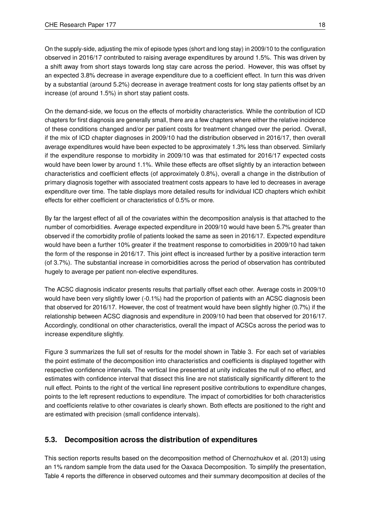On the supply-side, adjusting the mix of episode types (short and long stay) in 2009/10 to the configuration observed in 2016/17 contributed to raising average expenditures by around 1.5%. This was driven by a shift away from short stays towards long stay care across the period. However, this was offset by an expected 3.8% decrease in average expenditure due to a coefficient effect. In turn this was driven by a substantial (around 5.2%) decrease in average treatment costs for long stay patients offset by an increase (of around 1.5%) in short stay patient costs.

On the demand-side, we focus on the effects of morbidity characteristics. While the contribution of ICD chapters for first diagnosis are generally small, there are a few chapters where either the relative incidence of these conditions changed and/or per patient costs for treatment changed over the period. Overall, if the mix of ICD chapter diagnoses in 2009/10 had the distribution observed in 2016/17, then overall average expenditures would have been expected to be approximately 1.3% less than observed. Similarly if the expenditure response to morbidity in 2009/10 was that estimated for 2016/17 expected costs would have been lower by around 1.1%. While these effects are offset slightly by an interaction between characteristics and coefficient effects (of approximately 0.8%), overall a change in the distribution of primary diagnosis together with associated treatment costs appears to have led to decreases in average expenditure over time. The table displays more detailed results for individual ICD chapters which exhibit effects for either coefficient or characteristics of 0.5% or more.

By far the largest effect of all of the covariates within the decomposition analysis is that attached to the number of comorbidities. Average expected expenditure in 2009/10 would have been 5.7% greater than observed if the comorbidity profile of patients looked the same as seen in 2016/17. Expected expenditure would have been a further 10% greater if the treatment response to comorbidities in 2009/10 had taken the form of the response in 2016/17. This joint effect is increased further by a positive interaction term (of 3.7%). The substantial increase in comorbidities across the period of observation has contributed hugely to average per patient non-elective expenditures.

The ACSC diagnosis indicator presents results that partially offset each other. Average costs in 2009/10 would have been very slightly lower (-0.1%) had the proportion of patients with an ACSC diagnosis been that observed for 2016/17. However, the cost of treatment would have been slightly higher (0.7%) if the relationship between ACSC diagnosis and expenditure in 2009/10 had been that observed for 2016/17. Accordingly, conditional on other characteristics, overall the impact of ACSCs across the period was to increase expenditure slightly.

Figure 3 summarizes the full set of results for the model shown in Table 3. For each set of variables the point estimate of the decomposition into characteristics and coefficients is displayed together with respective confidence intervals. The vertical line presented at unity indicates the null of no effect, and estimates with confidence interval that dissect this line are not statistically significantly different to the null effect. Points to the right of the vertical line represent positive contributions to expenditure changes, points to the left represent reductions to expenditure. The impact of comorbidities for both characteristics and coefficients relative to other covariates is clearly shown. Both effects are positioned to the right and are estimated with precision (small confidence intervals).

# **5.3. Decomposition across the distribution of expenditures**

This section reports results based on the decomposition method of Chernozhukov et al. (2013) using an 1% random sample from the data used for the Oaxaca Decomposition. To simplify the presentation, Table 4 reports the difference in observed outcomes and their summary decomposition at deciles of the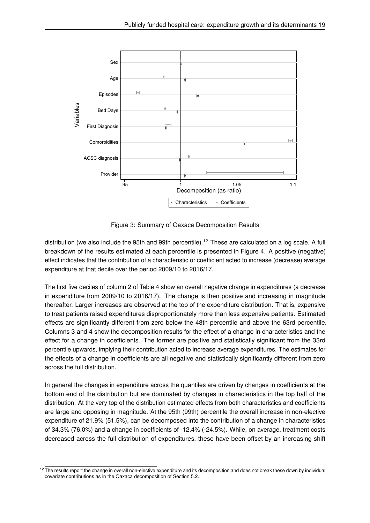

Figure 3: Summary of Oaxaca Decomposition Results

distribution (we also include the 95th and 99th percentile).<sup>12</sup> These are calculated on a log scale. A full breakdown of the results estimated at each percentile is presented in Figure 4. A positive (negative) effect indicates that the contribution of a characteristic or coefficient acted to increase (decrease) average expenditure at that decile over the period 2009/10 to 2016/17.

The first five deciles of column 2 of Table 4 show an overall negative change in expenditures (a decrease in expenditure from 2009/10 to 2016/17). The change is then positive and increasing in magnitude thereafter. Larger increases are observed at the top of the expenditure distribution. That is, expensive to treat patients raised expenditures disproportionately more than less expensive patients. Estimated effects are significantly different from zero below the 48th percentile and above the 63rd percentile. Columns 3 and 4 show the decomposition results for the effect of a change in characteristics and the effect for a change in coefficients. The former are positive and statistically significant from the 33rd percentile upwards, implying their contribution acted to increase average expenditures. The estimates for the effects of a change in coefficients are all negative and statistically significantly different from zero across the full distribution.

In general the changes in expenditure across the quantiles are driven by changes in coefficients at the bottom end of the distribution but are dominated by changes in characteristics in the top half of the distribution. At the very top of the distribution estimated effects from both characteristics and coefficients are large and opposing in magnitude. At the 95th (99th) percentile the overall increase in non-elective expenditure of 21.9% (51.5%), can be decomposed into the contribution of a change in characteristics of 34.3% (76.0%) and a change in coefficients of -12.4% (-24.5%). While, on average, treatment costs decreased across the full distribution of expenditures, these have been offset by an increasing shift

<sup>&</sup>lt;sup>12</sup> The results report the change in overall non-elective expenditure and its decomposition and does not break these down by individual covariate contributions as in the Oaxaca decomposition of Section 5.2.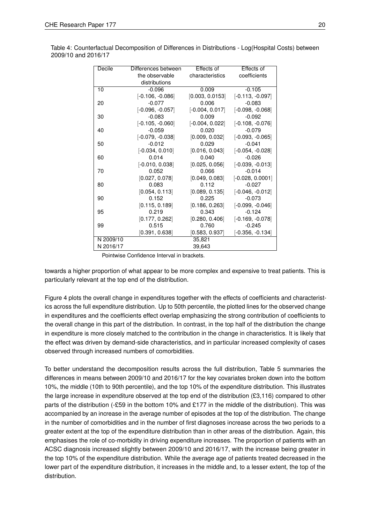| Decile    | Differences between | Effects of        | Effects of         |
|-----------|---------------------|-------------------|--------------------|
|           | the observable      | characteristics   | coefficients       |
|           | distributions       |                   |                    |
| 10        | $-0.096$            | 0.009             | $-0.105$           |
|           | $[-0.106, -0.086]$  | [0.003, 0.0153]   | $[-0.113, -0.097]$ |
| 20        | $-0.077$            | 0.006             | $-0.083$           |
|           | $[-0.096, -0.057]$  | $[-0.004, 0.017]$ | $[-0.098, -0.068]$ |
| 30        | $-0.083$            | 0.009             | $-0.092$           |
|           | $[-0.105, -0.060]$  | $[-0.004, 0.022]$ | $[-0.108, -0.076]$ |
| 40        | $-0.059$            | 0.020             | $-0.079$           |
|           | $[-0.079, -0.038]$  | [0.009, 0.032]    | $[-0.093, -0.065]$ |
| 50        | $-0.012$            | 0.029             | $-0.041$           |
|           | $[-0.034, 0.010]$   | [0.016, 0.043]    | $[-0.054, -0.028]$ |
| 60        | 0.014               | 0.040             | $-0.026$           |
|           | $[-0.010, 0.038]$   | [0.025, 0.056]    | $[-0.039, -0.013]$ |
| 70        | 0.052               | 0.066             | $-0.014$           |
|           | [0.027, 0.078]      | [0.049, 0.083]    | $[-0.028, 0.0001]$ |
| 80        | 0.083               | 0.112             | $-0.027$           |
|           | [0.054, 0.113]      | [0.089, 0.135]    | $[-0.046, -0.012]$ |
| 90        | 0.152               | 0.225             | $-0.073$           |
|           | [0.115, 0.189]      | [0.186, 0.263]    | $[-0.099, -0.046]$ |
| 95        | 0.219               | 0.343             | $-0.124$           |
|           | [0.177, 0.262]      | [0.280, 0.406]    | $[-0.169, -0.078]$ |
| 99        | 0.515               | 0.760             | $-0.245$           |
|           | [0.391, 0.638]      | [0.583, 0.937]    | [-0.356, -0.134]   |
| N 2009/10 |                     | 35,821            |                    |
| N 2016/17 |                     | 39,643            |                    |

Table 4: Counterfactual Decomposition of Differences in Distributions - Log(Hospital Costs) between 2009/10 and 2016/17

Pointwise Confidence Interval in brackets.

towards a higher proportion of what appear to be more complex and expensive to treat patients. This is particularly relevant at the top end of the distribution.

Figure 4 plots the overall change in expenditures together with the effects of coefficients and characteristics across the full expenditure distribution. Up to 50th percentile, the plotted lines for the observed change in expenditures and the coefficients effect overlap emphasizing the strong contribution of coefficients to the overall change in this part of the distribution. In contrast, in the top half of the distribution the change in expenditure is more closely matched to the contribution in the change in characteristics. It is likely that the effect was driven by demand-side characteristics, and in particular increased complexity of cases observed through increased numbers of comorbidities.

To better understand the decomposition results across the full distribution, Table 5 summaries the differences in means between 2009/10 and 2016/17 for the key covariates broken down into the bottom 10%, the middle (10th to 90th percentile), and the top 10% of the expenditure distribution. This illustrates the large increase in expenditure observed at the top end of the distribution (£3,116) compared to other parts of the distribution (-£59 in the bottom 10% and £177 in the middle of the distribution). This was accompanied by an increase in the average number of episodes at the top of the distribution. The change in the number of comorbidities and in the number of first diagnoses increase across the two periods to a greater extent at the top of the expenditure distribution than in other areas of the distribution. Again, this emphasises the role of co-morbidity in driving expenditure increases. The proportion of patients with an ACSC diagnosis increased slightly between 2009/10 and 2016/17, with the increase being greater in the top 10% of the expenditure distribution. While the average age of patients treated decreased in the lower part of the expenditure distribution, it increases in the middle and, to a lesser extent, the top of the distribution.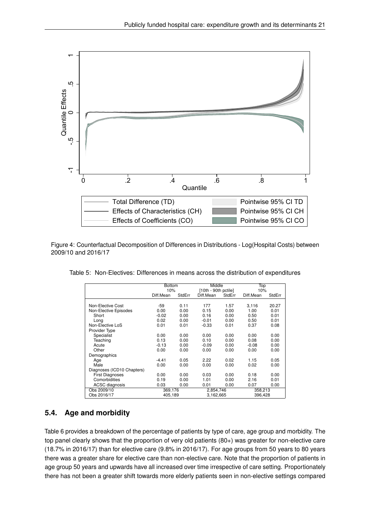

Figure 4: Counterfactual Decomposition of Differences in Distributions - Log(Hospital Costs) between 2009/10 and 2016/17

|  |  | Table 5: Non-Electives: Differences in means across the distribution of expenditures |
|--|--|--------------------------------------------------------------------------------------|
|  |  |                                                                                      |

|                            | <b>Bottom</b> |        | Middle               |        | Top       |        |
|----------------------------|---------------|--------|----------------------|--------|-----------|--------|
|                            | 10%           |        | [10th - 90th pctile] |        | 10%       |        |
|                            | Diff.Mean     | StdErr | Diff.Mean            | StdErr | Diff.Mean | StdErr |
|                            |               |        |                      |        |           |        |
| Non-Elective Cost          | -59           | 0.11   | 177                  | 1.57   | 3,116     | 20.27  |
| Non-Elective Episodes      | 0.00          | 0.00   | 0.15                 | 0.00   | 1.00      | 0.01   |
| Short                      | $-0.02$       | 0.00   | 0.16                 | 0.00   | 0.50      | 0.01   |
| Long                       | 0.02          | 0.00   | $-0.01$              | 0.00   | 0.50      | 0.01   |
| Non-Elective LoS           | 0.01          | 0.01   | $-0.33$              | 0.01   | 0.37      | 0.08   |
| Provider Type              |               |        |                      |        |           |        |
| Specialist                 | 0.00          | 0.00   | 0.00                 | 0.00   | 0.00      | 0.00   |
| Teaching                   | 0.13          | 0.00   | 0.10                 | 0.00   | 0.08      | 0.00   |
| Acute                      | $-0.13$       | 0.00   | $-0.09$              | 0.00   | $-0.08$   | 0.00   |
| Other                      | 0.00          | 0.00   | 0.00                 | 0.00   | 0.00      | 0.00   |
| Demographics               |               |        |                      |        |           |        |
| Age                        | $-4.41$       | 0.05   | 2.22                 | 0.02   | 1.15      | 0.05   |
| Male                       | 0.00          | 0.00   | 0.00                 | 0.00   | 0.02      | 0.00   |
| Diagnoses (ICD10 Chapters) |               |        |                      |        |           |        |
| <b>First Diagnoses</b>     | 0.00          | 0.00   | 0.03                 | 0.00   | 0.18      | 0.00   |
| Comorbidities              | 0.19          | 0.00   | 1.01                 | 0.00   | 2.16      | 0.01   |
| <b>ACSC</b> diagnosis      | 0.03          | 0.00   | 0.01                 | 0.00   | 0.07      | 0.00   |
| Obs 2009/10                | 369,176       |        | 2,854,746            |        | 358,213   |        |
| Obs 2016/17                | 405,189       |        | 3,162,665            |        | 396,428   |        |

# **5.4. Age and morbidity**

Table 6 provides a breakdown of the percentage of patients by type of care, age group and morbidity. The top panel clearly shows that the proportion of very old patients (80+) was greater for non-elective care (18.7% in 2016/17) than for elective care (9.8% in 2016/17). For age groups from 50 years to 80 years there was a greater share for elective care than non-elective care. Note that the proportion of patients in age group 50 years and upwards have all increased over time irrespective of care setting. Proportionately there has not been a greater shift towards more elderly patients seen in non-elective settings compared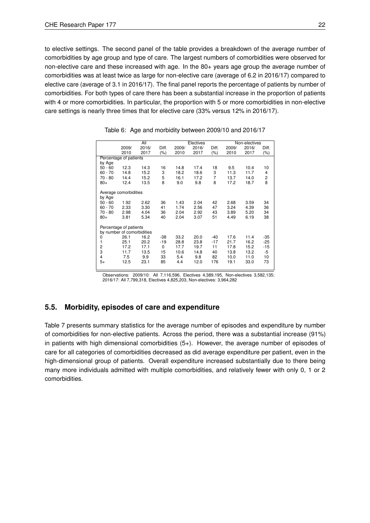to elective settings. The second panel of the table provides a breakdown of the average number of comorbidities by age group and type of care. The largest numbers of comorbidities were observed for non-elective care and these increased with age. In the 80+ years age group the average number of comorbidities was at least twice as large for non-elective care (average of 6.2 in 2016/17) compared to elective care (average of 3.1 in 2016/17). The final panel reports the percentage of patients by number of comorbidities. For both types of care there has been a substantial increase in the proportion of patients with 4 or more comorbidities. In particular, the proportion with 5 or more comorbidities in non-elective care settings is nearly three times that for elective care (33% versus 12% in 2016/17).

|                        |                            | All          |          |              | Electives    |                |              | Non-electives |          |
|------------------------|----------------------------|--------------|----------|--------------|--------------|----------------|--------------|---------------|----------|
|                        | 2009/                      | 2016/        | Diff.    | 2009/        | 2016/        | Diff.          | 2009/        | 2016/         | Diff.    |
|                        | 2010                       | 2017         | (%)      | 2010         | 2017         | $(\% )$        | 2010         | 2017          | $(\% )$  |
|                        | Percentage of patients     |              |          |              |              |                |              |               |          |
| by Age                 |                            |              |          |              |              |                |              |               |          |
| $50 - 60$              | 12.3                       | 14.3         | 16       | 14.8         | 17.4         | 18             | 9.5          | 10.4          | 10       |
| $60 - 70$              | 14.8                       | 15.2         | 3        | 18.2         | 18.6         | 3              | 11.3         | 11.7          | 4        |
| $70 - 80$              | 14.4                       | 15.2         | 5        | 16.1         | 17.2         | $\overline{7}$ | 13.7         | 14.0          | 2        |
| $80+$                  | 12.4                       | 13.5         | 8        | 9.0          | 9.8          | 8              | 17.2         | 18.7          | 8        |
|                        | Average comorbidities      |              |          |              |              |                |              |               |          |
| by Age                 |                            |              |          |              |              |                |              |               |          |
| $50 - 60$<br>$60 - 70$ | 1.92<br>2.33               | 2.62<br>3.30 | 36<br>41 | 1.43<br>1.74 | 2.04<br>2.56 | 42<br>47       | 2.68<br>3.24 | 3.59<br>4.39  | 34<br>36 |
| $70 - 80$              | 2.98                       | 4.04         | 36       | 2.04         | 2.92         | 43             | 3.89         | 5.20          | 34       |
| $80+$                  | 3.81                       | 5.34         | 40       | 2.04         | 3.07         | 51             | 4.49         | 6.19          | 38       |
|                        |                            |              |          |              |              |                |              |               |          |
|                        | Percentage of patients     |              |          |              |              |                |              |               |          |
|                        | by number of comorbidities |              |          |              |              |                |              |               |          |
| 0                      | 26.1                       | 16.2         | -38      | 33.2         | 20.0         | $-40$          | 17.6         | 11.4          | $-35$    |
| 1                      | 25.1                       | 20.2         | $-19$    | 28.8         | 23.8         | $-17$          | 21.7         | 16.2          | $-25$    |
| 2                      | 17.2                       | 17.1         | 0        | 17.7         | 19.7         | 11             | 17.8         | 15.2          | $-15$    |
| 3                      | 11.7                       | 13.5         | 15       | 10.6         | 14.8         | 40             | 13.8         | 13.2          | -5       |
| 4                      | 7.5                        | 9.9          | 33       | 5.4          | 9.8          | 82             | 10.0         | 11.0          | 10       |
| $5+$                   | 12.5                       | 23.1         | 85       | 4.4          | 12.0         | 176            | 19.1         | 33.0          | 73       |
|                        |                            |              |          |              |              |                |              |               |          |

Table 6: Age and morbidity between 2009/10 and 2016/17

Observations: 2009/10: All 7,116,596, Electives 4,389,195, Non-electives 3,582,135; 2016/17: All 7,799,318, Electives 4,825,203, Non-electives: 3,964,282

## **5.5. Morbidity, episodes of care and expenditure**

Table 7 presents summary statistics for the average number of episodes and expenditure by number of comorbidities for non-elective patients. Across the period, there was a substantial increase (91%) in patients with high dimensional comorbidities (5+). However, the average number of episodes of care for all categories of comorbidities decreased as did average expenditure per patient, even in the high-dimensional group of patients. Overall expenditure increased substantially due to there being many more individuals admitted with multiple comorbidities, and relatively fewer with only 0, 1 or 2 comorbidities.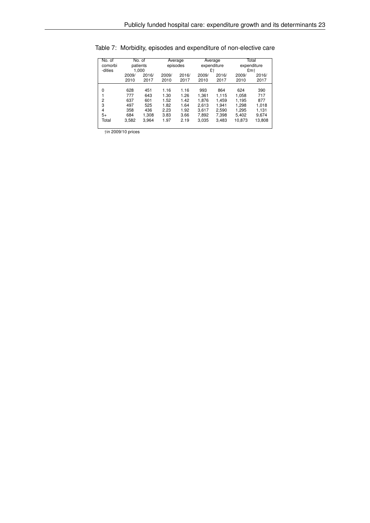| No. of         |       | No. of   | Average |          | Average     |       | Total       |        |
|----------------|-------|----------|---------|----------|-------------|-------|-------------|--------|
| comorbi        |       | patients |         | episodes | expenditure |       | expenditure |        |
| -dities        |       | 1.000    |         |          | £t          |       | £m+         |        |
|                |       |          |         |          |             |       |             |        |
|                | 2009/ | 2016/    | 2009/   | 2016/    | 2009/       | 2016/ | 2009/       | 2016/  |
|                | 2010  | 2017     | 2010    | 2017     | 2010        | 2017  | 2010        | 2017   |
|                |       |          |         |          |             |       |             |        |
| $\Omega$       | 628   | 451      | 1.16    | 1.16     | 993         | 864   | 624         | 390    |
|                | 777   | 643      | 1.30    | 1.26     | 1.361       | 1.115 | 1,058       | 717    |
| $\overline{2}$ | 637   | 601      | 1.52    | 1.42     | 1.876       | 1.459 | 1.195       | 877    |
| 3              | 497   | 525      | 1.82    | 1.64     | 2.613       | 1.941 | 1.298       | 1.018  |
| $\overline{4}$ | 358   | 436      | 2.23    | 1.92     | 3.617       | 2.590 | 1,295       | 1,131  |
| $5+$           | 684   | 1.308    | 3.83    | 3.66     | 7,892       | 7,398 | 5,402       | 9,674  |
| Total          | 3,582 | 3,964    | 1.97    | 2.19     | 3,035       | 3,483 | 10,873      | 13,808 |
|                |       |          |         |          |             |       |             |        |

# Table 7: Morbidity, episodes and expenditure of non-elective care

†in 2009/10 prices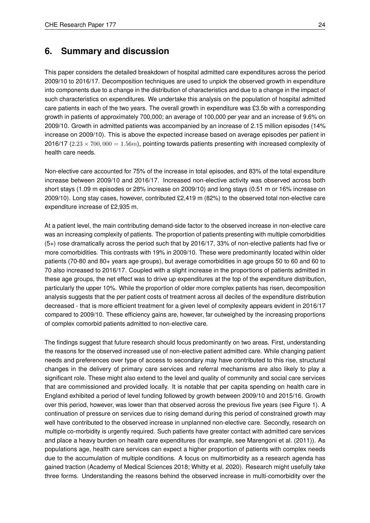# **6. Summary and discussion**

This paper considers the detailed breakdown of hospital admitted care expenditures across the period 2009/10 to 2016/17. Decomposition techniques are used to unpick the observed growth in expenditure into components due to a change in the distribution of characteristics and due to a change in the impact of such characteristics on expenditures. We undertake this analysis on the population of hospital admitted care patients in each of the two years. The overall growth in expenditure was £3.5b with a corresponding growth in patients of approximately 700,000; an average of 100,000 per year and an increase of 9.6% on 2009/10. Growth in admitted patients was accompanied by an increase of 2.15 million episodes (14% increase on 2009/10). This is above the expected increase based on average episodes per patient in 2016/17 ( $2.23 \times 700,000 = 1.56$ m), pointing towards patients presenting with increased complexity of health care needs.

Non-elective care accounted for 75% of the increase in total episodes, and 83% of the total expenditure increase between 2009/10 and 2016/17. Increased non-elective activity was observed across both short stays (1.09 m episodes or 28% increase on 2009/10) and long stays (0.51 m or 16% increase on 2009/10). Long stay cases, however, contributed £2,419 m (82%) to the observed total non-elective care expenditure increase of £2,935 m.

At a patient level, the main contributing demand-side factor to the observed increase in non-elective care was an increasing complexity of patients. The proportion of patients presenting with multiple comorbidities (5+) rose dramatically across the period such that by 2016/17, 33% of non-elective patients had five or more comorbidities. This contrasts with 19% in 2009/10. These were predominantly located within older patients (70-80 and 80+ years age groups), but average comorbidities in age groups 50 to 60 and 60 to 70 also increased to 2016/17. Coupled with a slight increase in the proportions of patients admitted in these age groups, the net effect was to drive up expenditures at the top of the expenditure distribution, particularly the upper 10%. While the proportion of older more complex patients has risen, decomposition analysis suggests that the per patient costs of treatment across all deciles of the expenditure distribution decreased - that is more efficient treatment for a given level of complexity appears evident in 2016/17 compared to 2009/10. These efficiency gains are, however, far outweighed by the increasing proportions of complex comorbid patients admitted to non-elective care.

The findings suggest that future research should focus predominantly on two areas. First, understanding the reasons for the observed increased use of non-elective patient admitted care. While changing patient needs and preferences over type of access to secondary may have contributed to this rise, structural changes in the delivery of primary care services and referral mechanisms are also likely to play a significant role. These might also extend to the level and quality of community and social care services that are commissioned and provided locally. It is notable that per capita spending on health care in England exhibited a period of level funding followed by growth between 2009/10 and 2015/16. Growth over this period, however, was lower than that observed across the previous five years (see Figure 1). A continuation of pressure on services due to rising demand during this period of constrained growth may well have contributed to the observed increase in unplanned non-elective care. Secondly, research on multiple co-morbidity is urgently required. Such patients have greater contact with admitted care services and place a heavy burden on health care expenditures (for example, see Marengoni et al. (2011)). As populations age, health care services can expect a higher proportion of patients with complex needs due to the accumulation of multiple conditions. A focus on multimorbidity as a research agenda has gained traction (Academy of Medical Sciences 2018; Whitty et al. 2020). Research might usefully take three forms. Understanding the reasons behind the observed increase in multi-comorbidity over the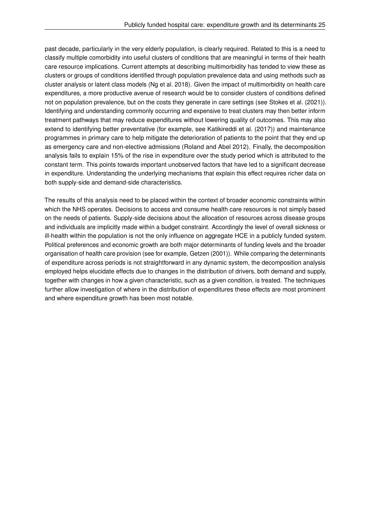past decade, particularly in the very elderly population, is clearly required. Related to this is a need to classify multiple comorbidity into useful clusters of conditions that are meaningful in terms of their health care resource implications. Current attempts at describing multimorbidity has tended to view these as clusters or groups of conditions identified through population prevalence data and using methods such as cluster analysis or latent class models (Ng et al. 2018). Given the impact of multimorbidity on health care expenditures, a more productive avenue of research would be to consider clusters of conditions defined not on population prevalence, but on the costs they generate in care settings (see Stokes et al. (2021)). Identifying and understanding commonly occurring and expensive to treat clusters may then better inform treatment pathways that may reduce expenditures without lowering quality of outcomes. This may also extend to identifying better preventative (for example, see Katikireddi et al. (2017)) and maintenance programmes in primary care to help mitigate the deterioration of patients to the point that they end up as emergency care and non-elective admissions (Roland and Abel 2012). Finally, the decomposition analysis fails to explain 15% of the rise in expenditure over the study period which is attributed to the constant term. This points towards important unobserved factors that have led to a significant decrease in expenditure. Understanding the underlying mechanisms that explain this effect requires richer data on both supply-side and demand-side characteristics.

The results of this analysis need to be placed within the context of broader economic constraints within which the NHS operates. Decisions to access and consume health care resources is not simply based on the needs of patients. Supply-side decisions about the allocation of resources across disease groups and individuals are implicitly made within a budget constraint. Accordingly the level of overall sickness or ill-health within the population is not the only influence on aggregate HCE in a publicly funded system. Political preferences and economic growth are both major determinants of funding levels and the broader organisation of health care provision (see for example, Getzen (2001)). While comparing the determinants of expenditure across periods is not straightforward in any dynamic system, the decomposition analysis employed helps elucidate effects due to changes in the distribution of drivers, both demand and supply, together with changes in how a given characteristic, such as a given condition, is treated. The techniques further allow investigation of where in the distribution of expenditures these effects are most prominent and where expenditure growth has been most notable.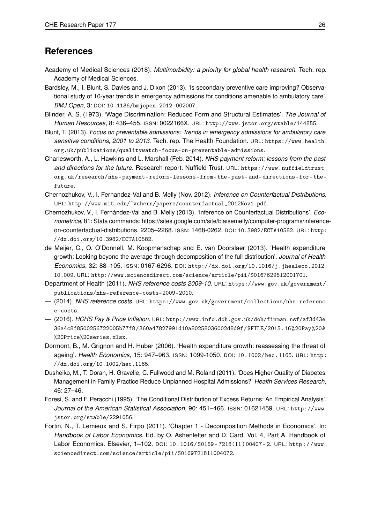# **References**

- Academy of Medical Sciences (2018). *Multimorbidity: a priority for global health research*. Tech. rep. Academy of Medical Sciences.
- Bardsley, M., I. Blunt, S. Davies and J. Dixon (2013). 'Is secondary preventive care improving? Observational study of 10-year trends in emergency admissions for conditions amenable to ambulatory care'. *BMJ Open*, 3: DOI: 10.1136/bmjopen-2012-002007.
- Blinder, A. S. (1973). 'Wage Discrimination: Reduced Form and Structural Estimates'. *The Journal of Human Resources*, 8: 436–455. ISSN: 0022166X. URL: http://www.jstor.org/stable/144855.
- Blunt, T. (2013). *Focus on preventable admissions: Trends in emergency admissions for ambulatory care sensitive conditions, 2001 to 2013*. Tech. rep. The Health Foundation. URL: https://www.health. org.uk/publications/qualitywatch-focus-on-preventable-admissions.
- Charlesworth, A., L. Hawkins and L. Marshall (Feb. 2014). *NHS payment reform: lessons from the past and directions for the future*. Research report. Nuffield Trust. URL: https://www.nuffieldtrust. org.uk/research/nhs- payment- reform- lessons- from- the- past- and- directions- for- thefuture.
- Chernozhukov, V., I. Fernandez-Val and B. Melly (Nov. 2012). *Inference on Counterfactual Distributions*. URL: http://www.mit.edu/~vchern/papers/counterfactual\_2012Nov1.pdf.
- Chernozhukov, V., I. Fernández-Val and B. Melly (2013). 'Inference on Counterfactual Distributions'. *Econometrica*, 81: Stata commands: https://sites.google.com/site/blaisemelly/computer-programs/inferenceon-counterfactual-distributions, 2205–2268. ISSN: 1468-0262. DOI: 10.3982/ECTA10582. URL: http: //dx.doi.org/10.3982/ECTA10582.
- de Meijer, C., O. O'Donnell, M. Koopmanschap and E. van Doorslaer (2013). 'Health expenditure growth: Looking beyond the average through decomposition of the full distribution'. *Journal of Health Economics*, 32: 88–105. ISSN: 0167-6296. DOI: http://dx.doi.org/10.1016/j.jhealeco.2012. 10.009. URL: http://www.sciencedirect.com/science/article/pii/S0167629612001701.
- Department of Health (2011). *NHS reference costs 2009-10*. URL: https://www.gov.uk/government/ publications/nhs-reference-costs-2009-2010.
- (2014). *NHS reference costs*. URL: https://www.gov.uk/government/collections/nhs-referenc e-costs.
- (2016). *HCHS Pay & Price Inflation*. URL: http://www.info.doh.gov.uk/doh/finman.nsf/af3d43e 36a4c8f8500256722005b77f8/360a47827991d10a80258036002d8d9f/\$FILE/2015.16%20Pay%20& %20Price%20series.xlsx.
- Dormont, B., M. Grignon and H. Huber (2006). 'Health expenditure growth: reassessing the threat of ageing'. *Health Economics*, 15: 947–963. ISSN: 1099-1050. DOI: 10.1002/hec.1165. URL: http: //dx.doi.org/10.1002/hec.1165.
- Dusheiko, M., T. Doran, H. Gravelle, C. Fullwood and M. Roland (2011). 'Does Higher Quality of Diabetes Management in Family Practice Reduce Unplanned Hospital Admissions?' *Health Services Research*, 46: 27–46.
- Foresi, S. and F. Peracchi (1995). 'The Conditional Distribution of Excess Returns: An Empirical Analysis'. *Journal of the American Statistical Association*, 90: 451–466. ISSN: 01621459. URL: http://www. jstor.org/stable/2291056.
- Fortin, N., T. Lemieux and S. Firpo (2011). 'Chapter 1 Decomposition Methods in Economics'. In: *Handbook of Labor Economics*. Ed. by O. Ashenfelter and D. Card. Vol. 4, Part A. Handbook of Labor Economics. Elsevier, 1–102. DOI: 10.1016/S0169- 7218(11)00407- 2. URL: http://www. sciencedirect.com/science/article/pii/S0169721811004072.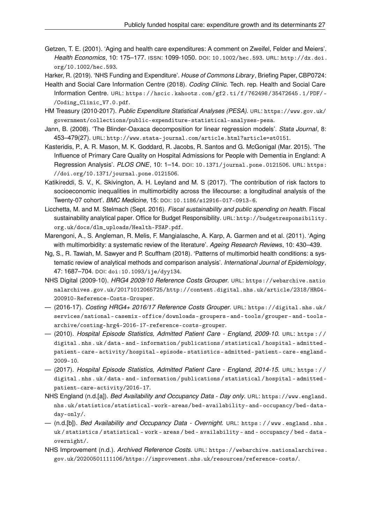Getzen, T. E. (2001). 'Aging and health care expenditures: A comment on Zweifel, Felder and Meiers'. *Health Economics*, 10: 175–177. ISSN: 1099-1050. DOI: 10.1002/hec.593. URL: http://dx.doi. org/10.1002/hec.593.

Harker, R. (2019). 'NHS Funding and Expenditure'. *House of Commons Library*, Briefing Paper, CBP0724:

- Health and Social Care Information Centre (2018). *Coding Clinic*. Tech. rep. Health and Social Care Information Centre. URL: https://hscic.kahootz.com/gf2.ti/f/762498/35472645.1/PDF/- /Coding\_Clinic\_V7.0.pdf.
- HM Treasury (2010-2017). *Public Expenditure Statistical Analyses (PESA)*. URL: https://www.gov.uk/ government/collections/public-expenditure-statistical-analyses-pesa.
- Jann, B. (2008). 'The Blinder-Oaxaca decomposition for linear regression models'. *Stata Journal*, 8: 453–479(27). URL: http://www.stata-journal.com/article.html?article=st0151.
- Kasteridis, P., A. R. Mason, M. K. Goddard, R. Jacobs, R. Santos and G. McGonigal (Mar. 2015). 'The Influence of Primary Care Quality on Hospital Admissions for People with Dementia in England: A Regression Analysis'. *PLOS ONE*, 10: 1–14. DOI: 10.1371/journal.pone.0121506. URL: https: //doi.org/10.1371/journal.pone.0121506.
- Katikireddi, S. V., K. Skivington, A. H. Leyland and M. S (2017). 'The contribution of risk factors to socioeconomic inequalities in multimorbidity across the lifecourse: a longitudinal analysis of the Twenty-07 cohort'. *BMC Medicine*, 15: DOI: 10.1186/s12916-017-0913-6.
- Licchetta, M. and M. Stelmach (Sept. 2016). *Fiscal sustainability and public spending on health*. Fiscal sustainability analytical paper. Office for Budget Responsibility. URL: http://budgetresponsibility. org.uk/docs/dlm\_uploads/Health-FSAP.pdf.
- Marengoni, A., S. Angleman, R. Melis, F. Mangialasche, A. Karp, A. Garmen and et al. (2011). 'Aging with multimorbidity: a systematic review of the literature'. *Ageing Research Reviews*, 10: 430–439.
- Ng, S., R. Tawiah, M. Sawyer and P. Scuffham (2018). 'Patterns of multimorbid health conditions: a systematic review of analytical methods and comparison analysis'. *International Journal of Epidemiology*, 47: 1687–704. DOI: doi:10.1093/ije/dyy134.
- NHS Digital (2009-10). *HRG4 2009/10 Reference Costs Grouper*. URL: https://webarchive.natio nalarchives.gov.uk/20171012065725/http://content.digital.nhs.uk/article/2318/HRG4- 200910-Reference-Costs-Grouper.
- (2016-17). *Costing HRG4+ 2016/17 Reference Costs Grouper*. URL: https://digital.nhs.uk/ services/national- casemix- office/downloads- groupers- and- tools/grouper- and- toolsarchive/costing-hrg4-2016-17-reference-costs-grouper.
- (2010). *Hospital Episode Statistics, Admitted Patient Care England, 2009-10*. URL: https : / / digital . nhs . uk / data - and - information / publications / statistical / hospital - admitted patient- care- activity/hospital- episode- statistics- admitted- patient- care- england-2009-10.
- (2017). *Hospital Episode Statistics, Admitted Patient Care England, 2014-15*. URL: https : / / digital . nhs . uk / data - and - information / publications / statistical / hospital - admitted patient-care-activity/2016-17.
- NHS England (n.d.[a]). *Bed Availability and Occupancy Data Day only*. URL: https://www.england. nhs.uk/statistics/statistical-work-areas/bed-availability-and-occupancy/bed-dataday-only/.
- (n.d.[b]). *Bed Availability and Occupancy Data Overnight*. URL: https : / / www . england . nhs . uk / statistics / statistical - work - areas / bed - availability - and - occupancy / bed - data overnight/.
- NHS Improvement (n.d.). *Archived Reference Costs*. URL: https://webarchive.nationalarchives. gov.uk/20200501111106/https://improvement.nhs.uk/resources/reference-costs/.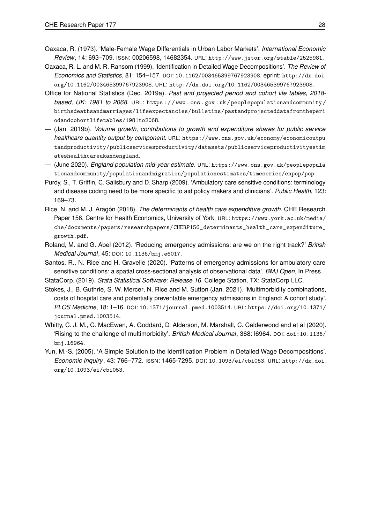- Oaxaca, R. (1973). 'Male-Female Wage Differentials in Urban Labor Markets'. *International Economic Review*, 14: 693–709. ISSN: 00206598, 14682354. URL: http://www.jstor.org/stable/2525981.
- Oaxaca, R. L. and M. R. Ransom (1999). 'Identification in Detailed Wage Decompositions'. *The Review of Economics and Statistics*, 81: 154–157. DOI: 10.1162/003465399767923908. eprint: http://dx.doi. org/10.1162/003465399767923908. URL: http://dx.doi.org/10.1162/003465399767923908.
- Office for National Statistics (Dec. 2019a). *Past and projected period and cohort life tables, 2018 based, UK: 1981 to 2068*. URL: https : / / www . ons . gov . uk / peoplepopulationandcommunity / birthsdeathsandmarriages/lifeexpectancies/bulletins/pastandprojecteddatafromtheperi odandcohortlifetables/1981to2068.
- (Jan. 2019b). *Volume growth, contributions to growth and expenditure shares for public service healthcare quantity output by component*. URL: https://www.ons.gov.uk/economy/economicoutpu tandproductivity/publicservicesproductivity/datasets/publicserviceproductivityestim ateshealthcareukandengland.
- (June 2020). *England population mid-year estimate*. URL: https://www.ons.gov.uk/peoplepopula tionandcommunity/populationandmigration/populationestimates/timeseries/enpop/pop.
- Purdy, S., T. Griffin, C. Salisbury and D. Sharp (2009). 'Ambulatory care sensitive conditions: terminology and disease coding need to be more specific to aid policy makers and clinicians'. *Public Health*, 123: 169–73.
- Rice, N. and M. J. Aragón (2018). *The determinants of health care expenditure growth*. CHE Research Paper 156. Centre for Health Economics, University of York. URL: https://www.york.ac.uk/media/ che/documents/papers/researchpapers/CHERP156\_determinants\_health\_care\_expenditure\_ growth.pdf.
- Roland, M. and G. Abel (2012). 'Reducing emergency admissions: are we on the right track?' *British Medical Journal*, 45: DOI: 10.1136/bmj.e6017.
- Santos, R., N. Rice and H. Gravelle (2020). 'Patterns of emergency admissions for ambulatory care sensitive conditions: a spatial cross-sectional analysis of observational data'. *BMJ Open*, In Press. StataCorp. (2019). *Stata Statistical Software: Release 16*. College Station, TX: StataCorp LLC.
- Stokes, J., B. Guthrie, S. W. Mercer, N. Rice and M. Sutton (Jan. 2021). 'Multimorbidity combinations, costs of hospital care and potentially preventable emergency admissions in England: A cohort study'. *PLOS Medicine*, 18: 1–16. DOI: 10.1371/journal.pmed.1003514. URL: https://doi.org/10.1371/ journal.pmed.1003514.
- Whitty, C. J. M., C. MacEwen, A. Goddard, D. Alderson, M. Marshall, C. Calderwood and et al (2020). 'Rising to the challenge of multimorbidity'. *British Medical Journal*, 368: l6964. DOI: doi:10.1136/ bmj.l6964.
- Yun, M.-S. (2005). 'A Simple Solution to the Identification Problem in Detailed Wage Decompositions'. *Economic Inquiry*, 43: 766–772. ISSN: 1465-7295. DOI: 10.1093/ei/cbi053. URL: http://dx.doi. org/10.1093/ei/cbi053.